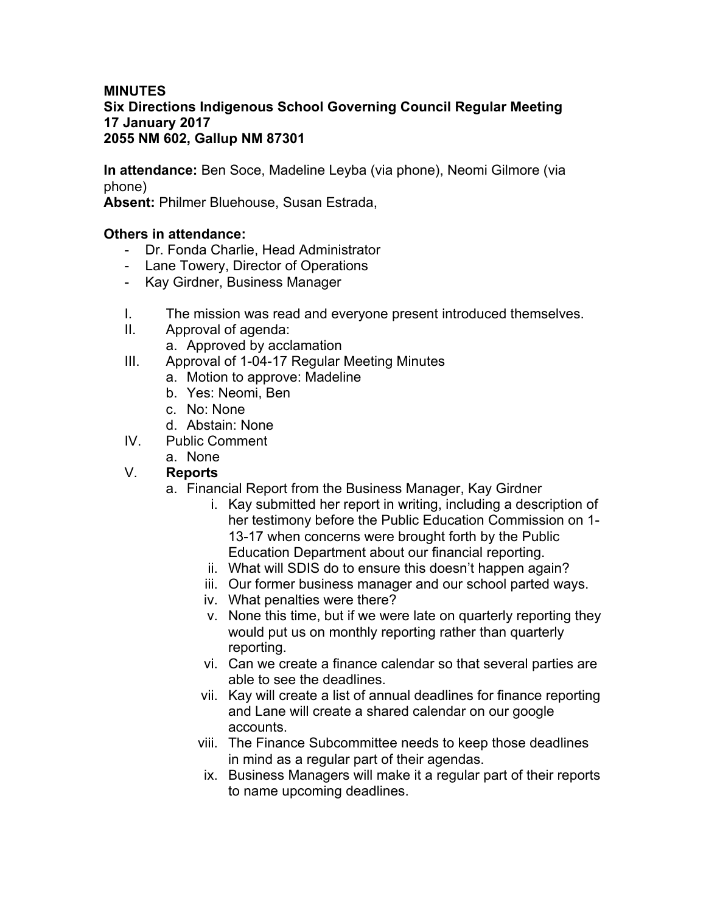### **MINUTES Six Directions Indigenous School Governing Council Regular Meeting 17 January 2017 2055 NM 602, Gallup NM 87301**

**In attendance:** Ben Soce, Madeline Leyba (via phone), Neomi Gilmore (via phone)

**Absent:** Philmer Bluehouse, Susan Estrada,

# **Others in attendance:**

- Dr. Fonda Charlie, Head Administrator
- Lane Towery, Director of Operations
- Kay Girdner, Business Manager
- I. The mission was read and everyone present introduced themselves.
- II. Approval of agenda:
	- a. Approved by acclamation
- III. Approval of 1-04-17 Regular Meeting Minutes
	- a. Motion to approve: Madeline
	- b. Yes: Neomi, Ben
	- c. No: None
	- d. Abstain: None
- IV. Public Comment
	- a. None

### V. **Reports**

- a. Financial Report from the Business Manager, Kay Girdner
	- i. Kay submitted her report in writing, including a description of her testimony before the Public Education Commission on 1- 13-17 when concerns were brought forth by the Public Education Department about our financial reporting.
	- ii. What will SDIS do to ensure this doesn't happen again?
	- iii. Our former business manager and our school parted ways.
	- iv. What penalties were there?
	- v. None this time, but if we were late on quarterly reporting they would put us on monthly reporting rather than quarterly reporting.
	- vi. Can we create a finance calendar so that several parties are able to see the deadlines.
	- vii. Kay will create a list of annual deadlines for finance reporting and Lane will create a shared calendar on our google accounts.
	- viii. The Finance Subcommittee needs to keep those deadlines in mind as a regular part of their agendas.
	- ix. Business Managers will make it a regular part of their reports to name upcoming deadlines.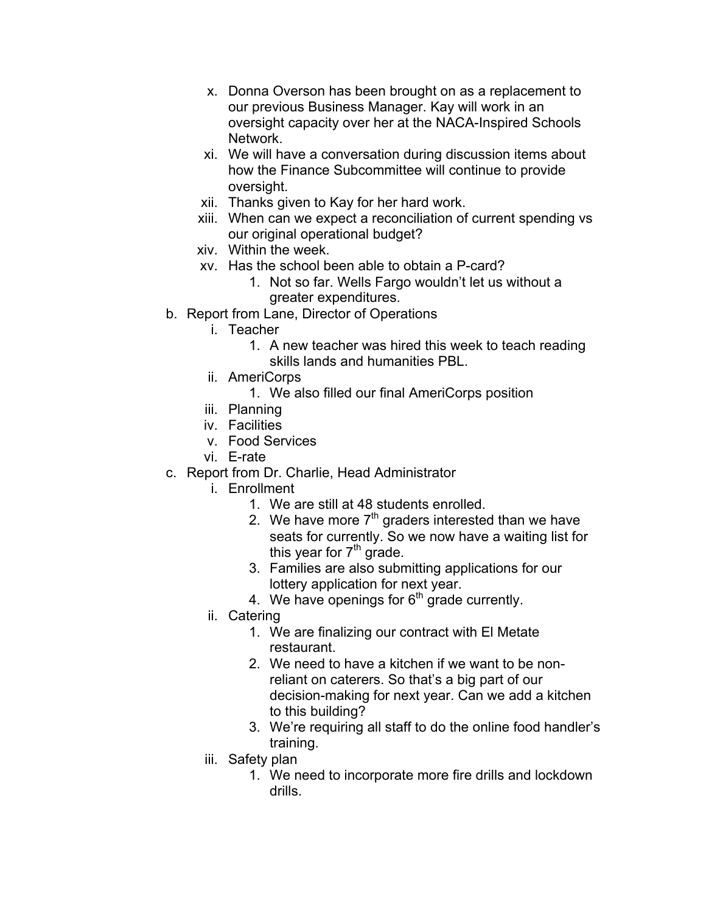- x. Donna Overson has been brought on as a replacement to our previous Business Manager. Kay will work in an oversight capacity over her at the NACA-Inspired Schools Network.
- xi. We will have a conversation during discussion items about how the Finance Subcommittee will continue to provide oversight.
- xii. Thanks given to Kay for her hard work.
- xiii. When can we expect a reconciliation of current spending vs our original operational budget?
- xiv. Within the week.
- xv. Has the school been able to obtain a P-card?
	- 1. Not so far. Wells Fargo wouldn't let us without a greater expenditures.
- b. Report from Lane, Director of Operations
	- i. Teacher
		- 1. A new teacher was hired this week to teach reading skills lands and humanities PBL.
	- ii. AmeriCorps
		- 1. We also filled our final AmeriCorps position
	- iii. Planning
	- iv. Facilities
	- v. Food Services
	- vi. E-rate
- c. Report from Dr. Charlie, Head Administrator
	- i. Enrollment
		- 1. We are still at 48 students enrolled.
		- 2. We have more  $7<sup>th</sup>$  graders interested than we have seats for currently. So we now have a waiting list for this year for  $7<sup>th</sup>$  grade.
		- 3. Families are also submitting applications for our lottery application for next year.
		- 4. We have openings for  $6<sup>th</sup>$  grade currently.
	- ii. Catering
		- 1. We are finalizing our contract with El Metate restaurant.
		- 2. We need to have a kitchen if we want to be nonreliant on caterers. So that's a big part of our decision-making for next year. Can we add a kitchen to this building?
		- 3. We're requiring all staff to do the online food handler's training.
	- iii. Safety plan
		- 1. We need to incorporate more fire drills and lockdown drills.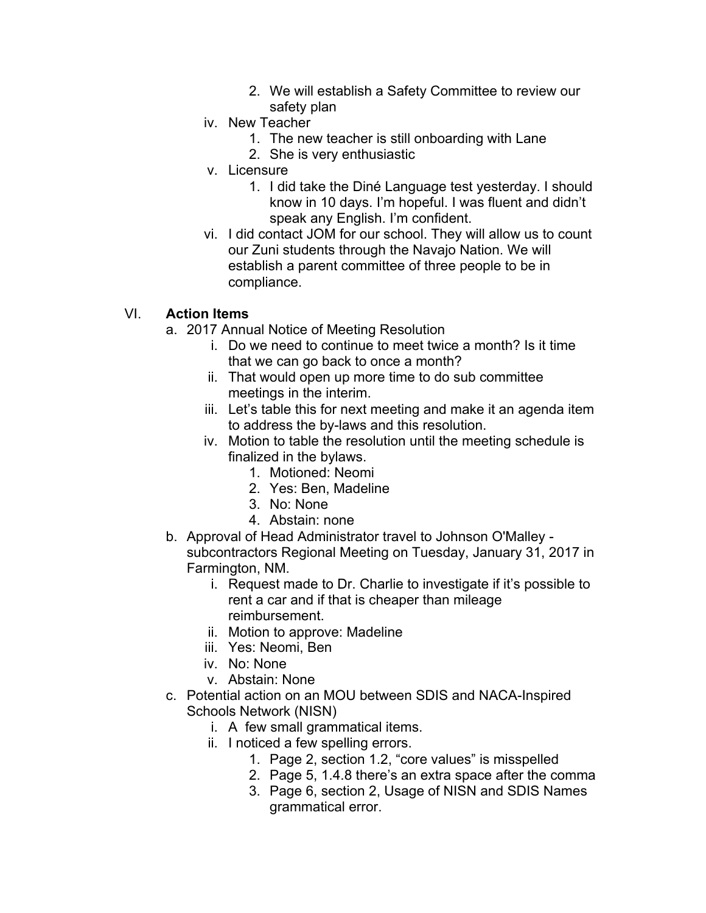- 2. We will establish a Safety Committee to review our safety plan
- iv. New Teacher
	- 1. The new teacher is still onboarding with Lane
	- 2. She is very enthusiastic
- v. Licensure
	- 1. I did take the Diné Language test yesterday. I should know in 10 days. I'm hopeful. I was fluent and didn't speak any English. I'm confident.
- vi. I did contact JOM for our school. They will allow us to count our Zuni students through the Navajo Nation. We will establish a parent committee of three people to be in compliance.

# VI. **Action Items**

- a. 2017 Annual Notice of Meeting Resolution
	- i. Do we need to continue to meet twice a month? Is it time that we can go back to once a month?
	- ii. That would open up more time to do sub committee meetings in the interim.
	- iii. Let's table this for next meeting and make it an agenda item to address the by-laws and this resolution.
	- iv. Motion to table the resolution until the meeting schedule is finalized in the bylaws.
		- 1. Motioned: Neomi
		- 2. Yes: Ben, Madeline
		- 3. No: None
		- 4. Abstain: none
- b. Approval of Head Administrator travel to Johnson O'Malley subcontractors Regional Meeting on Tuesday, January 31, 2017 in Farmington, NM.
	- i. Request made to Dr. Charlie to investigate if it's possible to rent a car and if that is cheaper than mileage reimbursement.
	- ii. Motion to approve: Madeline
	- iii. Yes: Neomi, Ben
	- iv. No: None
	- v. Abstain: None
- c. Potential action on an MOU between SDIS and NACA-Inspired Schools Network (NISN)
	- i. A few small grammatical items.
	- ii. I noticed a few spelling errors.
		- 1. Page 2, section 1.2, "core values" is misspelled
		- 2. Page 5, 1.4.8 there's an extra space after the comma
		- 3. Page 6, section 2, Usage of NISN and SDIS Names grammatical error.